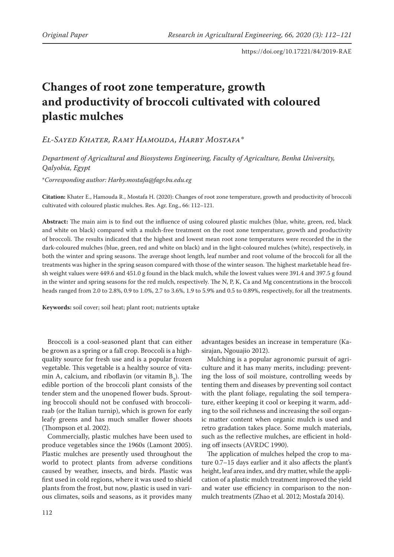# **Changes of root zone temperature, growth and productivity of broccoli cultivated with coloured plastic mulches**

# *El-Sayed Khater, Ramy Hamouda, Harby Mostafa\**

*Department of Agricultural and Biosystems Engineering, Faculty of Agriculture, Benha University, Qalyobia, Egypt*

\**Corresponding author: Harby.mostafa@fagr.bu.edu.eg*

**Citation:** Khater E., Hamouda R., Mostafa H. (2020): Changes of root zone temperature, growth and productivity of broccoli cultivated with coloured plastic mulches. Res. Agr. Eng., 66: 112–121.

**Abstract:** The main aim is to find out the influence of using coloured plastic mulches (blue, white, green, red, black and white on black) compared with a mulch-free treatment on the root zone temperature, growth and productivity of broccoli. The results indicated that the highest and lowest mean root zone temperatures were recorded the in the dark-coloured mulches (blue, green, red and white on black) and in the light-coloured mulches (white), respectively, in both the winter and spring seasons. The average shoot length, leaf number and root volume of the broccoli for all the treatments was higher in the spring season compared with those of the winter season. The highest marketable head fresh weight values were 449.6 and 451.0 g found in the black mulch, while the lowest values were 391.4 and 397.5 g found in the winter and spring seasons for the red mulch, respectively. The N, P, K, Ca and Mg concentrations in the broccoli heads ranged from 2.0 to 2.8%, 0.9 to 1.0%, 2.7 to 3.6%, 1.9 to 5.9% and 0.5 to 0.89%, respectively, for all the treatments.

**Keywords:** soil cover; soil heat; plant root; nutrients uptake

Broccoli is a cool-seasoned plant that can either be grown as a spring or a fall crop. Broccoli is a highquality source for fresh use and is a popular frozen vegetable. This vegetable is a healthy source of vitamin A, calcium, and riboflavin (or vitamin  $B_2$ ). The edible portion of the broccoli plant consists of the tender stem and the unopened flower buds. Sprouting broccoli should not be confused with broccoliraab (or the Italian turnip), which is grown for early leafy greens and has much smaller flower shoots (Thompson et al. 2002).

Commercially, plastic mulches have been used to produce vegetables since the 1960s (Lamont 2005). Plastic mulches are presently used throughout the world to protect plants from adverse conditions caused by weather, insects, and birds. Plastic was first used in cold regions, where it was used to shield plants from the frost, but now, plastic is used in various climates, soils and seasons, as it provides many advantages besides an increase in temperature (Kasirajan, Ngouajio 2012).

Mulching is a popular agronomic pursuit of agriculture and it has many merits, including: preventing the loss of soil moisture, controlling weeds by tenting them and diseases by preventing soil contact with the plant foliage, regulating the soil temperature, either keeping it cool or keeping it warm, adding to the soil richness and increasing the soil organic matter content when organic mulch is used and retro gradation takes place. Some mulch materials, such as the reflective mulches, are efficient in holding off insects (AVRDC 1990).

The application of mulches helped the crop to mature 0.7–15 days earlier and it also affects the plant's height, leaf area index, and dry matter, while the application of a plastic mulch treatment improved the yield and water use efficiency in comparison to the nonmulch treatments (Zhao et al. 2012; Mostafa 2014).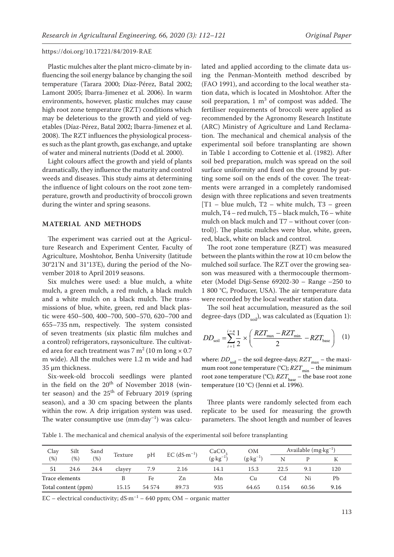Plastic mulches alter the plant micro-climate by influencing the soil energy balance by changing the soil temperature (Tarara 2000; Díaz-Pérez, Batal 2002; Lamont 2005; Ibarra-Jimenez et al. 2006). In warm environments, however, plastic mulches may cause high root zone temperature (RZT) conditions which may be deleterious to the growth and yield of vegetables (Díaz-Pérez, Batal 2002; Ibarra-Jimenez et al. 2008). The RZT influences the physiological processes such as the plant growth, gas exchange, and uptake of water and mineral nutrients (Dodd et al. 2000).

Light colours affect the growth and yield of plants dramatically, they influence the maturity and control weeds and diseases. This study aims at determining the influence of light colours on the root zone temperature, growth and productivity of broccoli grown during the winter and spring seasons.

## **MATERIAL AND METHODS**

The experiment was carried out at the Agriculture Research and Experiment Center, Faculty of Agriculture, Moshtohor, Benha University (latitude 30°21'N and 31°13'E), during the period of the November 2018 to April 2019 seasons.

Six mulches were used: a blue mulch, a white mulch, a green mulch, a red mulch, a black mulch and a white mulch on a black mulch. The transmissions of blue, white, green, red and black plastic were 450–500, 400–700, 500–570, 620–700 and 655–735 nm, respectively. The system consisted of seven treatments (six plastic film mulches and a control) refrigerators, raysoniculture. The cultivated area for each treatment was 7 m<sup>2</sup> (10 m long  $\times$  0.7 m wide). All the mulches were 1.2 m wide and had 35 µm thickness.

Six-week-old broccoli seedlings were planted in the field on the  $20<sup>th</sup>$  of November 2018 (winter season) and the  $25<sup>th</sup>$  of February 2019 (spring season), and a 30 cm spacing between the plants within the row. A drip irrigation system was used. The water consumptive use  $(mm \cdot day^{-1})$  was calculated and applied according to the climate data using the Penman-Monteith method described by (FAO 1991), and according to the local weather station data, which is located in Moshtohor. After the soil preparation,  $1 \text{ m}^3$  of compost was added. The fertiliser requirements of broccoli were applied as recommended by the Agronomy Research Institute (ARC) Ministry of Agriculture and Land Reclamation. The mechanical and chemical analysis of the experimental soil before transplanting are shown in Table 1 according to Cottenie et al. (1982). After soil bed preparation, mulch was spread on the soil surface uniformity and fixed on the ground by putting some soil on the ends of the cover. The treatments were arranged in a completely randomised design with three replications and seven treatments [T1 – blue mulch, T2 – white mulch, T3 – green mulch, T4 – red mulch, T5 – black mulch, T6 – white mulch on black mulch and T7 – without cover (control)]. The plastic mulches were blue, white, green, red, black, white on black and control.

The root zone temperature (RZT) was measured between the plants within the row at 10 cm below the mulched soil surface. The RZT over the growing season was measured with a thermocouple thermometer (Model Digi-Sense 69202-30 – Range –250 to 1 800 °C, Producer, USA). The air temperature data were recorded by the local weather station data.

The soil heat accumulation, measured as the soil degree-days (DD $_{\rm coil}$ ), was calculated as (Equation 1):

$$
DD_{\text{soil}} = \sum_{i=1}^{i=n} \frac{1}{2} \times \left( \frac{RZT_{\text{max}} - RZT_{\text{min}}}{2} - RZT_{\text{base}} \right) \quad (1)
$$

where:  $DD_{\text{soil}}$  – the soil degree-days;  $RZT_{\text{max}}$  – the maximum root zone temperature (°C);  $RT_{min}$  – the minimum root zone temperature (°C);  $RZT_{base}$  – the base root zone temperature (10 °C) (Jenni et al. 1996).

Three plants were randomly selected from each replicate to be used for measuring the growth parameters. The shoot length and number of leaves

Table 1. The mechanical and chemical analysis of the experimental soil before transplanting

| Clay                | Silt | Sand    | Texture | pH     | $EC$ (dS $\cdot$ m <sup>-1</sup> ) | CaCO<br>$(g \cdot kg^{-1})$ | <b>OM</b>           | Available $(mg \cdot kg^{-1})$ |       |      |
|---------------------|------|---------|---------|--------|------------------------------------|-----------------------------|---------------------|--------------------------------|-------|------|
| (%)                 | (% ) | $(\% )$ |         |        |                                    |                             | $(g \cdot kg^{-1})$ | N                              |       |      |
| 51                  | 24.6 | 24.4    | clayey  | 7.9    | 2.16                               | 14.1                        | 15.3                | 22.5                           | 9.1   | 120  |
| Trace elements      |      |         |         | Fe     | Zn                                 | Mn                          | Cu                  | Cd                             | Ni    | Рb   |
| Total content (ppm) |      |         | 15.15   | 54 574 | 89.73                              | 935                         | 64.65               | 0.154                          | 60.56 | 9.16 |

EC – electrical conductivity;  $dS·m^{-1}$  – 640 ppm; OM – organic matter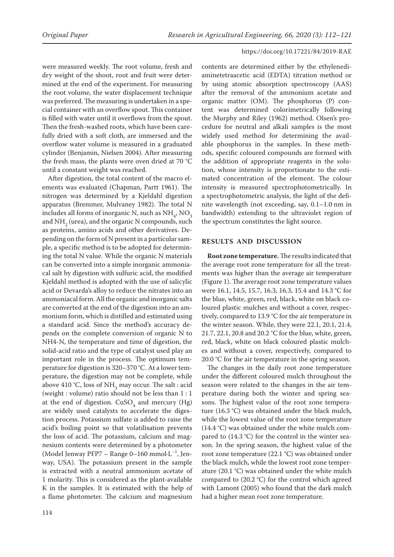were measured weekly. The root volume, fresh and dry weight of the shoot, root and fruit were determined at the end of the experiment. For measuring the root volume, the water displacement technique was preferred. The measuring is undertaken in a special container with an overflow spout. This container is filled with water until it overflows from the spout. Then the fresh-washed roots, which have been carefully dried with a soft cloth, are immersed and the overflow water volume is measured in a graduated cylinder (Benjamin, Nielsen 2004). After measuring the fresh mass, the plants were oven dried at 70 °C until a constant weight was reached.

After digestion, the total content of the macro elements was evaluated (Chapman, Partt 1961). The nitrogen was determined by a Kjeldahl digestion apparatus (Bremmer, Mulvaney 1982). The total N includes all forms of inorganic N, such as  $NH_4$ ,  $NO_3$ and  $NH_2$  (urea), and the organic N compounds, such as proteins, amino acids and other derivatives. Depending on the form of N present in a particular sample, a specific method is to be adopted for determining the total N value. While the organic N materials can be converted into a simple inorganic ammoniacal salt by digestion with sulfuric acid, the modified Kjeldahl method is adopted with the use of salicylic acid or Devarda's alloy to reduce the nitrates into an ammoniacal form. All the organic and inorganic salts are converted at the end of the digestion into an ammonium form, which is distilled and estimated using a standard acid. Since the method's accuracy depends on the complete conversion of organic N to NH4-N, the temperature and time of digestion, the solid-acid ratio and the type of catalyst used play an important role in the process. The optimum temperature for digestion is 320–370 °C. At a lower temperature, the digestion may not be complete, while above 410 °C, loss of NH<sub>3</sub> may occur. The salt : acid (weight : volume) ratio should not be less than 1 : 1 at the end of digestion.  $CuSO<sub>4</sub>$  and mercury (Hg) are widely used catalysts to accelerate the digestion process. Potassium sulfate is added to raise the acid's boiling point so that volatilisation prevents the loss of acid. The potassium, calcium and magnesium contents were determined by a photometer (Model Jenway PFP7 – Range 0–160 mmol·L–1, Jenway, USA). The potassium present in the sample is extracted with a neutral ammonium acetate of 1 molarity. This is considered as the plant-available K in the samples. It is estimated with the help of a flame photometer. The calcium and magnesium

contents are determined either by the ethylenediaminetetraacetic acid (EDTA) titration method or by using atomic absorption spectroscopy (AAS) after the removal of the ammonium acetate and organic matter (OM). The phosphorus (P) content was determined colorimetrically following the Murphy and Riley (1962) method. Olsen's procedure for neutral and alkali samples is the most widely used method for determining the available phosphorus in the samples. In these methods, specific coloured compounds are formed with the addition of appropriate reagents in the solution, whose intensity is proportionate to the estimated concentration of the element. The colour intensity is measured spectrophotometrically. In a spectrophotometric analysis, the light of the definite wavelength (not exceeding, say, 0.1–1.0 nm in bandwidth) extending to the ultraviolet region of the spectrum constitutes the light source.

## **RESULTS AND DISCUSSION**

**Root zone temperature.** The results indicated that the average root zone temperature for all the treatments was higher than the average air temperature (Figure 1). The average root zone temperature values were 16.1, 14.5, 15.7, 16.3, 16.3, 15.4 and 14.3 °C for the blue, white, green, red, black, white on black coloured plastic mulches and without a cover, respectively, compared to 13.9 °C for the air temperature in the winter season. While, they were 22.1, 20.1, 21.4, 21.7, 22.1, 20.8 and 20.2 °C for the blue, white, green, red, black, white on black coloured plastic mulches and without a cover, respectively, compared to 20.0 °C for the air temperature in the spring season.

The changes in the daily root zone temperature under the different coloured mulch throughout the season were related to the changes in the air temperature during both the winter and spring seasons. The highest value of the root zone temperature (16.3 °C) was obtained under the black mulch, while the lowest value of the root zone temperature (14.4 °C) was obtained under the white mulch compared to (14.3 °C) for the control in the winter season. In the spring season, the highest value of the root zone temperature (22.1 °C) was obtained under the black mulch, while the lowest root zone temperature (20.1 °C) was obtained under the white mulch compared to (20.2 °C) for the control which agreed with Lamont (2005) who found that the dark mulch had a higher mean root zone temperature.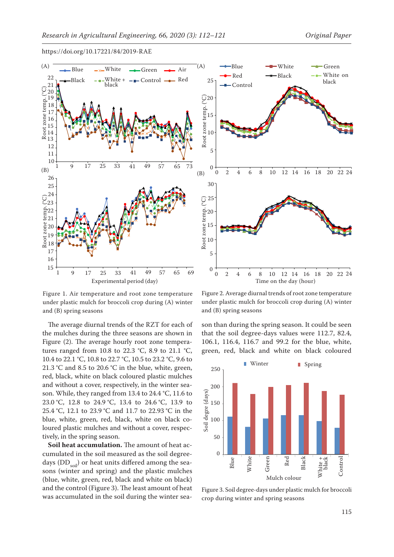



and (B) spring seasons and planstic multiplane and spring seasons Figure 1. Air temperature and root zone temperature under plastic mulch for broccoli crop during (A) winter und

The average diurnal trends of the RZT for each of the mulches during the three seasons are shown in Figure (2). The average hourly root zone temperatures ranged from 10.8 to 22.3 °C, 8.9 to 21.1 °C, 10.4 to 22.1 °C, 10.8 to 22.7 °C, 10.5 to 23.2 °C, 9.6 to 21.3 °C and 8.5 to 20.6 °C in the blue, white, green, red, black, white on black coloured plastic mulches and without a cover, respectively, in the winter season. While, they ranged from 13.4 to 24.4 °C, 11.6 to 23.0 °C, 12.8 to 24.9 °C, 13.4 to 24.6 °C, 13.9 to 25.4 °C, 12.1 to 23.9 °C and 11.7 to 22.93 °C in the blue, white, green, red, black, white on black coloured plastic mulches and without a cover, respectively, in the spring season. crop during winter and spring seasons

**Soil heat accumulation.** The amount of heat accumulated in the soil measured as the soil degreedays (DD $_{\rm coil}$ ) or heat units differed among the seasons (winter and spring) and the plastic mulches (blue, white, green, red, black and white on black) and the control (Figure 3). The least amount of heat was accumulated in the soil during the winter sea-



under plastic mulch for broccoli crop during  $(A)$  winter and (B) spring seasons Figure 2. Average diurnal trends of root zone temperature

son than during the spring season. It could be seen that the soil degree-days values were 112.7, 82.4, 106.1, 116.4, 116.7 and 99.2 for the blue, white, green, red, black and white on black coloured



Figure 3. Soil degree-days under plastic mulch for broccoli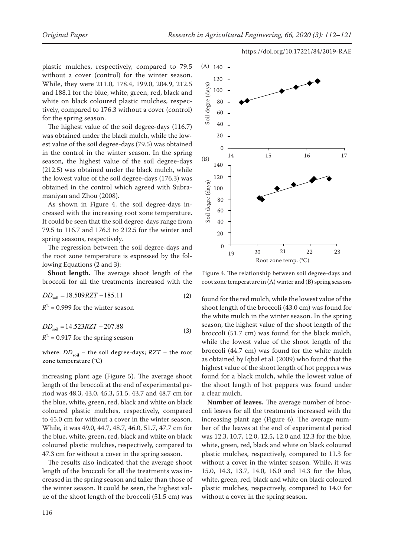plastic mulches, respectively, compared to 79.5 without a cover (control) for the winter season. While, they were 211.0, 178.4, 199.0, 204.9, 212.5 and 188.1 for the blue, white, green, red, black and white on black coloured plastic mulches, respectively, compared to 176.3 without a cover (control) for the spring season.

The highest value of the soil degree-days (116.7) was obtained under the black mulch, while the lowest value of the soil degree-days (79.5) was obtained in the control in the winter season. In the spring season, the highest value of the soil degree-days (212.5) was obtained under the black mulch, while the lowest value of the soil degree-days (176.3) was obtained in the control which agreed with Subramaniyan and Zhou (2008).

As shown in Figure 4, the soil degree-days increased with the increasing root zone temperature. It could be seen that the soil degree-days range from 79.5 to 116.7 and 176.3 to 212.5 for the winter and spring seasons, respectively. Bud<br>As<br>Tea<br>CC

The regression between the soil degree-days and the root zone temperature is expressed by the following Equations (2 and 3):

**Shoot length.** The average shoot length of the broccoli for all the treatments increased with the

$$
DD_{\text{soil}} = 18.509 RZT - 185.11
$$
 (2) found for the red much, while the lowest value

 $R^2$  = 0.999 for the winter season

 $DD_{\text{soil}} = 14.523 RZT - 207.88$  $R^2$  = 0.917 for the spring season (3)

where:  $DD_{\text{soil}}$  – the soil degree-days;  $RZT$  – the root zone temperature (°C)

increasing plant age (Figure 5). The average shoot length of the broccoli at the end of experimental period was 48.3, 43.0, 45.3, 51.5, 43.7 and 48.7 cm for the blue, white, green, red, black and white on black coloured plastic mulches, respectively, compared to 45.0 cm for without a cover in the winter season. While, it was 49.0, 44.7, 48.7, 46.0, 51.7, 47.7 cm for the blue, white, green, red, black and white on black coloured plastic mulches, respectively, compared to 47.3 cm for without a cover in the spring season.

The results also indicated that the average shoot length of the broccoli for all the treatments was increased in the spring season and taller than those of the winter season. It could be seen, the highest value of the shoot length of the broccoli (51.5 cm) was



Figure 4. The relationship between soil degree-days and root zone temperature in (A) winter and (B) spring seasons

found for the red mulch, while the lowest value of the shoot length of the broccoli (43.0 cm) was found for the white mulch in the winter season. In the spring season, the highest value of the shoot length of the broccoli (51.7 cm) was found for the black mulch, while the lowest value of the shoot length of the broccoli (44.7 cm) was found for the white mulch as obtained by Iqbal et al. (2009) who found that the highest value of the shoot length of hot peppers was found for a black mulch, while the lowest value of the shoot length of hot peppers was found under a clear mulch.

**Number of leaves.** The average number of broccoli leaves for all the treatments increased with the increasing plant age (Figure 6). The average number of the leaves at the end of experimental period was 12.3, 10.7, 12.0, 12.5, 12.0 and 12.3 for the blue, white, green, red, black and white on black coloured plastic mulches, respectively, compared to 11.3 for without a cover in the winter season. While, it was 15.0, 14.3, 13.7, 14.0, 16.0 and 14.3 for the blue, white, green, red, black and white on black coloured plastic mulches, respectively, compared to 14.0 for without a cover in the spring season.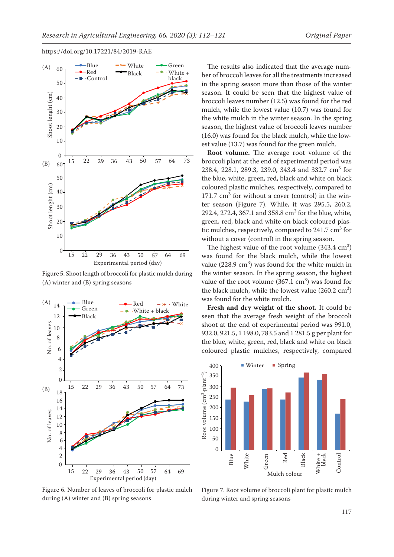

Figure 5. Shoot length of broccoli for plastic mulch during  $(A)$  winter and  $(B)$  spring seasons value value noot length of broccoll for plastic muich dur



Figure 6. Number of leaves of broccoli for plastic mulch during (A) winter and (B) spring seasons during winter and spring seasons

The results also indicated that the average number of broccoli leaves for all the treatments increased in the spring season more than those of the winter season. It could be seen that the highest value of broccoli leaves number (12.5) was found for the red mulch, while the lowest value (10.7) was found for the white mulch in the winter season. In the spring season, the highest value of broccoli leaves number (16.0) was found for the black mulch, while the lowest value (13.7) was found for the green mulch.

**Root volume.** The average root volume of the broccoli plant at the end of experimental period was 238.4, 228.1, 289.3, 239.0, 343.4 and 332.7 cm<sup>3</sup> for the blue, white, green, red, black and white on black coloured plastic mulches, respectively, compared to  $171.7 \text{ cm}^3$  for without a cover (control) in the winter season (Figure 7). While, it was 295.5, 260.2, 292.4, 272.4, 367.1 and 358.8  $\text{cm}^3$  for the blue, white, green, red, black and white on black coloured plastic mulches, respectively, compared to  $241.7 \text{ cm}^3$  for without a cover (control) in the spring season.

The highest value of the root volume  $(343.4 \text{ cm}^3)$ was found for the black mulch, while the lowest value  $(228.9 \text{ cm}^3)$  was found for the white mulch in the winter season. In the spring season, the highest value of the root volume  $(367.1 \text{ cm}^3)$  was found for the black mulch, while the lowest value  $(260.2 \text{ cm}^3)$ was found for the white mulch.

**Fresh and dry weight of the shoot.** It could be seen that the average fresh weight of the broccoli shoot at the end of experimental period was 991.0, 932.0, 921.5, 1 198.0, 783.5 and 1 281.5 g per plant for the blue, white, green, red, black and white on black coloured plastic mulches, respectively, compared



during winter and spring seasons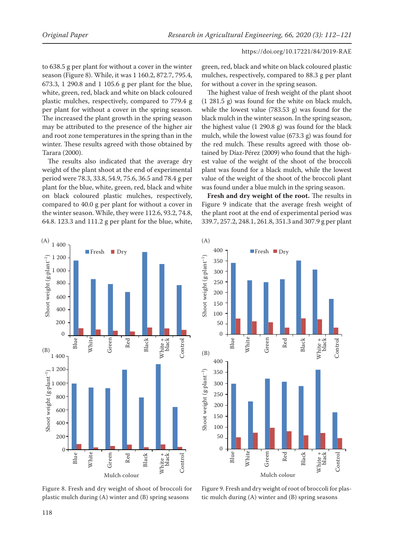to 638.5 g per plant for without a cover in the winter season (Figure 8). While, it was 1 160.2, 872.7, 795.4, 673.3, 1 290.8 and 1 105.6 g per plant for the blue, white, green, red, black and white on black coloured plastic mulches, respectively, compared to 779.4 g per plant for without a cover in the spring season. The increased the plant growth in the spring season may be attributed to the presence of the higher air and root zone temperatures in the spring than in the winter. These results agreed with those obtained by Tarara (2000).

The results also indicated that the average dry weight of the plant shoot at the end of experimental period were 78.3, 33.8, 54.9, 75.6, 36.5 and 78.4 g per plant for the blue, white, green, red, black and white on black coloured plastic mulches, respectively, compared to 40.0 g per plant for without a cover in the winter season. While, they were 112.6, 93.2, 74.8, 64.8. 123.3 and 111.2 g per plant for the blue, white,

green, red, black and white on black coloured plastic mulches, respectively, compared to 88.3 g per plant for without a cover in the spring season.

The highest value of fresh weight of the plant shoot (1 281.5 g) was found for the white on black mulch, while the lowest value (783.53 g) was found for the black mulch in the winter season. In the spring season, the highest value (1 290.8 g) was found for the black mulch, while the lowest value (673.3 g) was found for the red mulch. These results agreed with those obtained by Díaz-Pérez (2009) who found that the highest value of the weight of the shoot of the broccoli plant was found for a black mulch, while the lowest value of the weight of the shoot of the broccoli plant was found under a blue mulch in the spring season.

**Fresh and dry weight of the root.** The results in Figure 9 indicate that the average fresh weight of the plant root at the end of experimental period was 339.7, 257.2, 248.1, 261.8, 351.3 and 307.9 g per plant





**Mulch Colore** Figure 8. Fresh and dry weight of shoot of broccoli for plastic mulch during (A) winter and (B) spring seasons

Figure 9. Fresh and dry weight of root of broccoli for plastic mulch during (A) winter and (B) spring seasons

(B)

weight (g/plant)

Shoot weight  $(g\text{-}plant^{-1})$ 

 $v$ eight (g·plant $\overline{\phantom{a}}$ 

Root

40

60

80

 $\frac{1}{2}$  1 00

 $-120$ 

Shoot weight (g-plant

Shoot weight (g·plant–1)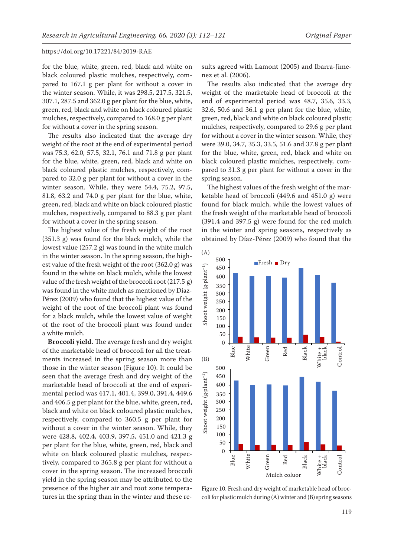for the blue, white, green, red, black and white on black coloured plastic mulches, respectively, compared to 167.1 g per plant for without a cover in the winter season. While, it was 298.5, 217.5, 321.5, 307.1, 287.5 and 362.0 g per plant for the blue, white, green, red, black and white on black coloured plastic mulches, respectively, compared to 168.0 g per plant for without a cover in the spring season.

The results also indicated that the average dry weight of the root at the end of experimental period was 75.3, 62.0, 57.5, 32.1, 76.1 and 71.8 g per plant for the blue, white, green, red, black and white on black coloured plastic mulches, respectively, compared to 32.0 g per plant for without a cover in the winter season. While, they were 54.4, 75.2, 97.5, 81.8, 63.2 and 74.0 g per plant for the blue, white, green, red, black and white on black coloured plastic mulches, respectively, compared to 88.3 g per plant for without a cover in the spring season.

The highest value of the fresh weight of the root (351.3 g) was found for the black mulch, while the lowest value (257.2 g) was found in the white mulch in the winter season. In the spring season, the highest value of the fresh weight of the root (362.0 g) was found in the white on black mulch, while the lowest value of the fresh weight of the broccoli root (217.5 g) was found in the white mulch as mentioned by Díaz-Pérez (2009) who found that the highest value of the weight of the root of the broccoli plant was found for a black mulch, while the lowest value of weight of the root of the broccoli plant was found under a white mulch.

**Broccoli yield.** The average fresh and dry weight of the marketable head of broccoli for all the treatments increased in the spring season more than  $(B)$   $\overline{a}$   $\overline{b}$   $\overline{c}$   $\overline{d}$   $\overline{c}$ those in the winter season (Figure 10). It could be seen that the average fresh and dry weight of the marketable head of broccoli at the end of experimental period was 417.1, 401.4, 399.0, 391.4, 449.6 and 406.5 g per plant for the blue, white, green, red, black and white on black coloured plastic mulches, respectively, compared to 360.5 g per plant for without a cover in the winter season. While, they were 428.8, 402.4, 403.9, 397.5, 451.0 and 421.3 g per plant for the blue, white, green, red, black and white on black coloured plastic mulches, respectively, compared to 365.8 g per plant for without a cover in the spring season. The increased broccoli yield in the spring season may be attributed to the **Mulch Colore** presence of the higher air and root zone temperatures in the spring than in the winter and these rent:<br>4<br>ck<br>pe

sults agreed with Lamont (2005) and Ibarra-Jimenez et al. (2006).

The results also indicated that the average dry weight of the marketable head of broccoli at the end of experimental period was 48.7, 35.6, 33.3, 32.6, 50.6 and 36.1 g per plant for the blue, white, green, red, black and white on black coloured plastic mulches, respectively, compared to 29.6 g per plant for without a cover in the winter season. While, they were 39.0, 34.7, 35.3, 33.5, 51.6 and 37.8 g per plant for the blue, white, green, red, black and white on black coloured plastic mulches, respectively, compared to 31.3 g per plant for without a cover in the spring season.

The highest values of the fresh weight of the marketable head of broccoli (449.6 and 451.0 g) were found for black mulch, while the lowest values of the fresh weight of the marketable head of broccoli (391.4 and 397.5 g) were found for the red mulch in the winter and spring seasons, respectively as obtained by Díaz-Pérez (2009) who found that the



Figure 10. Fresh and dry weight of marketable head of broccoli for plastic mulch during (A) winter and (B) spring seasons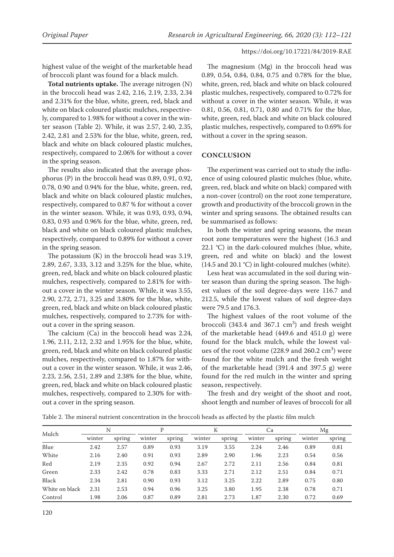highest value of the weight of the marketable head of broccoli plant was found for a black mulch.

**Total nutrients uptake.** The average nitrogen (N) in the broccoli head was 2.42, 2.16, 2.19, 2.33, 2.34 and 2.31% for the blue, white, green, red, black and white on black coloured plastic mulches, respectively, compared to 1.98% for without a cover in the winter season (Table 2). While, it was 2.57, 2.40, 2.35, 2.42, 2.81 and 2.53% for the blue, white, green, red, black and white on black coloured plastic mulches, respectively, compared to 2.06% for without a cover in the spring season.

The results also indicated that the average phosphorus (P) in the broccoli head was 0.89, 0.91, 0.92, 0.78, 0.90 and 0.94% for the blue, white, green, red, black and white on black coloured plastic mulches, respectively, compared to 0.87 % for without a cover in the winter season. While, it was 0.93, 0.93, 0.94, 0.83, 0.93 and 0.96% for the blue, white, green, red, black and white on black coloured plastic mulches, respectively, compared to 0.89% for without a cover in the spring season.

The potassium (K) in the broccoli head was 3.19, 2.89, 2.67, 3.33, 3.12 and 3.25% for the blue, white, green, red, black and white on black coloured plastic mulches, respectively, compared to 2.81% for without a cover in the winter season. While, it was 3.55, 2.90, 2.72, 2.71, 3.25 and 3.80% for the blue, white, green, red, black and white on black coloured plastic mulches, respectively, compared to 2.73% for without a cover in the spring season.

The calcium (Ca) in the broccoli head was 2.24, 1.96, 2.11, 2.12, 2.32 and 1.95% for the blue, white, green, red, black and white on black coloured plastic mulches, respectively, compared to 1.87% for without a cover in the winter season. While, it was 2.46, 2.23, 2.56, 2.51, 2.89 and 2.38% for the blue, white, green, red, black and white on black coloured plastic mulches, respectively, compared to 2.30% for without a cover in the spring season.

The magnesium (Mg) in the broccoli head was 0.89, 0.54, 0.84, 0.84, 0.75 and 0.78% for the blue, white, green, red, black and white on black coloured plastic mulches, respectively, compared to 0.72% for without a cover in the winter season. While, it was 0.81, 0.56, 0.81, 0.71, 0.80 and 0.71% for the blue, white, green, red, black and white on black coloured plastic mulches, respectively, compared to 0.69% for without a cover in the spring season.

# **CONCLUSION**

The experiment was carried out to study the influence of using coloured plastic mulches (blue, white, green, red, black and white on black) compared with a non-cover (control) on the root zone temperature, growth and productivity of the broccoli grown in the winter and spring seasons. The obtained results can be summarised as follows:

In both the winter and spring seasons, the mean root zone temperatures were the highest (16.3 and 22.1 °C) in the dark-coloured mulches (blue, white, green, red and white on black) and the lowest (14.5 and 20.1 °C) in light-coloured mulches (white).

Less heat was accumulated in the soil during winter season than during the spring season. The highest values of the soil degree-days were 116.7 and 212.5, while the lowest values of soil degree-days were 79.5 and 176.3.

The highest values of the root volume of the broccoli (343.4 and 367.1  $\text{cm}^3$ ) and fresh weight of the marketable head (449.6 and 451.0 g) were found for the black mulch, while the lowest values of the root volume  $(228.9 \text{ and } 260.2 \text{ cm}^3)$  were found for the white mulch and the fresh weight of the marketable head (391.4 and 397.5 g) were found for the red mulch in the winter and spring season, respectively.

The fresh and dry weight of the shoot and root, shoot length and number of leaves of broccoli for all

| Mulch          | N      |        | P      |        | К      |        | Ca     |        | Mg     |        |
|----------------|--------|--------|--------|--------|--------|--------|--------|--------|--------|--------|
|                | winter | spring | winter | spring | winter | spring | winter | spring | winter | spring |
| Blue           | 2.42   | 2.57   | 0.89   | 0.93   | 3.19   | 3.55   | 2.24   | 2.46   | 0.89   | 0.81   |
| White          | 2.16   | 2.40   | 0.91   | 0.93   | 2.89   | 2.90   | 1.96   | 2.23   | 0.54   | 0.56   |
| Red            | 2.19   | 2.35   | 0.92   | 0.94   | 2.67   | 2.72   | 2.11   | 2.56   | 0.84   | 0.81   |
| Green          | 2.33   | 2.42   | 0.78   | 0.83   | 3.33   | 2.71   | 2.12   | 2.51   | 0.84   | 0.71   |
| Black          | 2.34   | 2.81   | 0.90   | 0.93   | 3.12   | 3.25   | 2.22   | 2.89   | 0.75   | 0.80   |
| White on black | 2.31   | 2.53   | 0.94   | 0.96   | 3.25   | 3.80   | 1.95   | 2.38   | 0.78   | 0.71   |
| Control        | 1.98   | 2.06   | 0.87   | 0.89   | 2.81   | 2.73   | 1.87   | 2.30   | 0.72   | 0.69   |